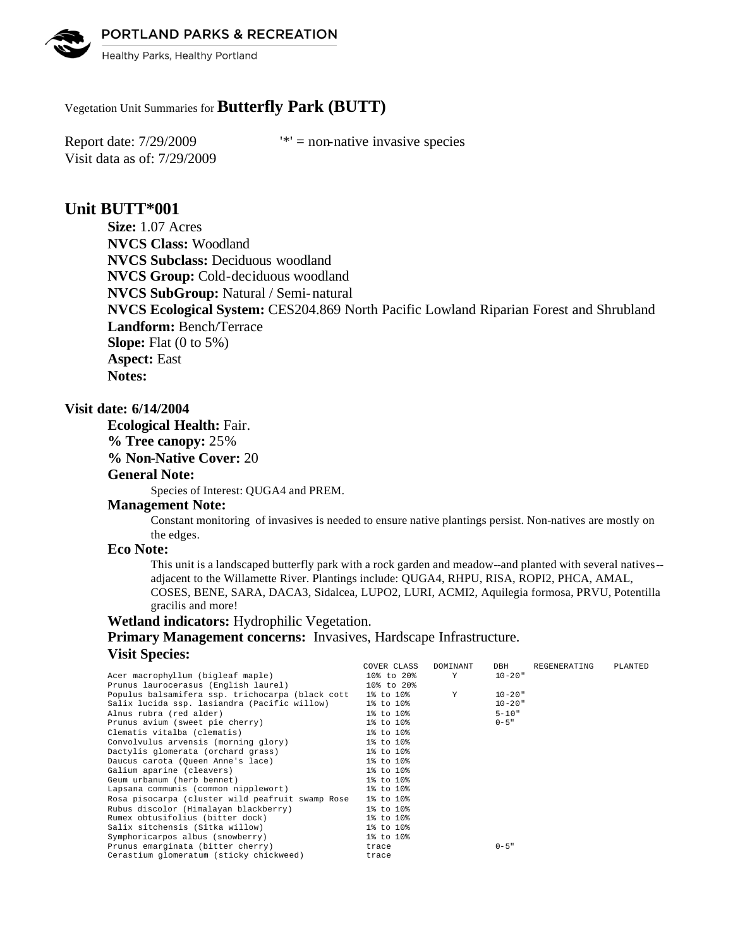PORTLAND PARKS & RECREATION



Healthy Parks, Healthy Portland

## Vegetation Unit Summaries for **Butterfly Park (BUTT)**

Visit data as of: 7/29/2009

Report date:  $7/29/2009$  '\*' = non-native invasive species

# **Unit BUTT\*001**

**Size:** 1.07 Acres **NVCS Class:** Woodland **NVCS Subclass:** Deciduous woodland **NVCS Group:** Cold-deciduous woodland **NVCS SubGroup:** Natural / Semi-natural **NVCS Ecological System:** CES204.869 North Pacific Lowland Riparian Forest and Shrubland **Landform:** Bench/Terrace **Slope:** Flat (0 to 5%) **Aspect:** East **Notes:** 

### **Visit date: 6/14/2004**

**Ecological Health:** Fair.

**% Tree canopy:** 25%

**% Non-Native Cover:** 20

#### **General Note:**

Species of Interest: QUGA4 and PREM.

#### **Management Note:**

Constant monitoring of invasives is needed to ensure native plantings persist. Non-natives are mostly on the edges.

#### **Eco Note:**

This unit is a landscaped butterfly park with a rock garden and meadow--and planted with several natives- adjacent to the Willamette River. Plantings include: QUGA4, RHPU, RISA, ROPI2, PHCA, AMAL, COSES, BENE, SARA, DACA3, Sidalcea, LUPO2, LURI, ACMI2, Aquilegia formosa, PRVU, Potentilla gracilis and more!

#### **Wetland indicators:** Hydrophilic Vegetation.

**Primary Management concerns:** Invasives, Hardscape Infrastructure. **Visit Species:** 

|                                                            | COVER CLASS | DOMINANT | DBH         | REGENERATING | PLANTED |
|------------------------------------------------------------|-------------|----------|-------------|--------------|---------|
| Acer macrophyllum (bigleaf maple)                          | 10% to 20%  | Y        | $10 - 20$ " |              |         |
| Prunus laurocerasus (English laurel)                       | 10% to 20%  |          |             |              |         |
| Populus balsamifera ssp. trichocarpa (black cott 1% to 10% |             | Y        | $10 - 20$ " |              |         |
| Salix lucida ssp. lasiandra (Pacific willow)               | 1% to 10%   |          | $10 - 20$ " |              |         |
| Alnus rubra (red alder)                                    | 1% to 10%   |          | $5 - 10"$   |              |         |
| Prunus avium (sweet pie cherry)                            | 1% to 10%   |          | $0 - 5$ "   |              |         |
| Clematis vitalba (clematis)                                | 1% to 10%   |          |             |              |         |
| Convolvulus arvensis (morning glory)                       | 1% to 10%   |          |             |              |         |
| Dactylis glomerata (orchard grass)                         | 1% to 10%   |          |             |              |         |
| Daucus carota (Queen Anne's lace)                          | 1% to 10%   |          |             |              |         |
| Galium aparine (cleavers)                                  | 1% to 10%   |          |             |              |         |
| Geum urbanum (herb bennet)                                 | 1% to 10%   |          |             |              |         |
| Lapsana communis (common nipplewort)                       | 1% to 10%   |          |             |              |         |
| Rosa pisocarpa (cluster wild peafruit swamp Rose           | 1% to 10%   |          |             |              |         |
| Rubus discolor (Himalayan blackberry)                      | 1% to 10%   |          |             |              |         |
| Rumex obtusifolius (bitter dock)                           | 1% to 10%   |          |             |              |         |
| Salix sitchensis (Sitka willow)                            | 1% to 10%   |          |             |              |         |
| Symphoricarpos albus (snowberry)                           | 1% to 10%   |          |             |              |         |
| Prunus emarginata (bitter cherry)                          | trace       |          | $0 - 5$ "   |              |         |
| Cerastium glomeratum (sticky chickweed)                    | trace       |          |             |              |         |